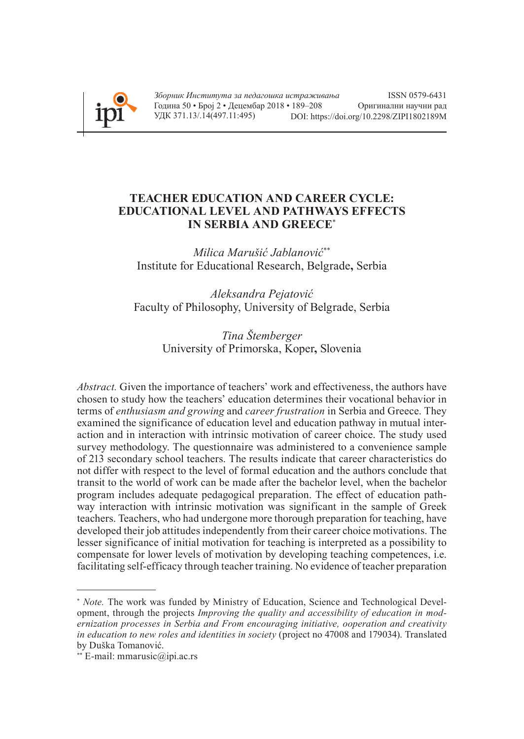

# **TEACHER EDUCATION AND CAREER CYCLE: EDUCATIONAL LEVEL AND PATHWAYS EFFECTS IN SERBIA AND GREECE**\*

*Milica Marušić Jablanović*\*\* Institute for Educational Research, Belgrade**,** Serbia

*Aleksandra Pejatović* Faculty of Philosophy, University of Belgrade, Serbia

> *Tina Štemberger* University of Primorska, Koper**,** Slovenia

*Abstract.* Given the importance of teachers' work and effectiveness, the authors have chosen to study how the teachers' education determines their vocational behavior in terms of *enthusiasm and growing* and *career frustration* in Serbia and Greece. They examined the significance of education level and education pathway in mutual interaction and in interaction with intrinsic motivation of career choice. The study used survey methodology. The questionnaire was administered to a convenience sample of 213 secondary school teachers. The results indicate that career characteristics do not differ with respect to the level of formal education and the authors conclude that transit to the world of work can be made after the bachelor level, when the bachelor program includes adequate pedagogical preparation. The effect of education pathway interaction with intrinsic motivation was significant in the sample of Greek teachers. Teachers, who had undergone more thorough preparation for teaching, have developed their job attitudes independently from their career choice motivations. The lesser significance of initial motivation for teaching is interpreted as a possibility to compensate for lower levels of motivation by developing teaching competences, i.e. facilitating self-efficacy through teacher training. No evidence of teacher preparation

<sup>∗</sup> *Note.* The work was funded by Ministry of Education, Science and Technological Development, through the projects *Improving the quality and accessibility of education in modernization processes in Serbia and From encouraging initiative, ooperation and creativity in education to new roles and identities in society* (project no 47008 and 179034). Translated by Duška Tomanović.

<sup>∗∗</sup> E-mail: mmarusic@ipi.ac.rs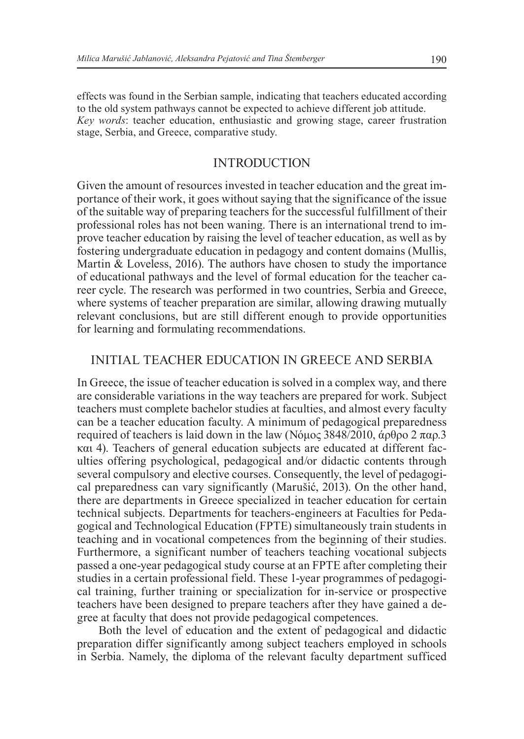effects was found in the Serbian sample, indicating that teachers educated according to the old system pathways cannot be expected to achieve different job attitude. *Key words*: teacher education, enthusiastic and growing stage, career frustration stage, Serbia, and Greece, comparative study.

## **INTRODUCTION**

Given the amount of resources invested in teacher education and the great importance of their work, it goes without saying that the significance of the issue of the suitable way of preparing teachers for the successful fulfillment of their professional roles has not been waning. There is an international trend to improve teacher education by raising the level of teacher education, as well as by fostering undergraduate education in pedagogy and content domains (Mullis, Martin & Loveless, 2016). The authors have chosen to study the importance of educational pathways and the level of formal education for the teacher career cycle. The research was performed in two countries, Serbia and Greece, where systems of teacher preparation are similar, allowing drawing mutually relevant conclusions, but are still different enough to provide opportunities for learning and formulating recommendations.

## Initial Teacher Education in Greece and Serbia

In Greece, the issue of teacher education is solved in a complex way, and there are considerable variations in the way teachers are prepared for work. Subject teachers must complete bachelor studies at faculties, and almost every faculty can be a teacher education faculty. A minimum of pedagogical preparedness required of teachers is laid down in the law (Νόμος 3848/2010, άρθρο 2 παρ.3 και 4). Teachers of general education subjects are educated at different faculties offering psychological, pedagogical and/or didactic contents through several compulsory and elective courses. Consequently, the level of pedagogical preparedness can vary significantly (Marušić, 2013). On the other hand, there are departments in Greece specialized in teacher education for certain technical subjects. Departments for teachers-engineers at Faculties for Pedagogical and Technological Education (FPTE) simultaneously train students in teaching and in vocational competences from the beginning of their studies. Furthermore, a significant number of teachers teaching vocational subjects passed a one-year pedagogical study course at an FPTE after completing their studies in a certain professional field. These 1-year programmes of pedagogical training, further training or specialization for in-service or prospective teachers have been designed to prepare teachers after they have gained a degree at faculty that does not provide pedagogical competences.

Both the level of education and the extent of pedagogical and didactic preparation differ significantly among subject teachers employed in schools in Serbia. Namely, the diploma of the relevant faculty department sufficed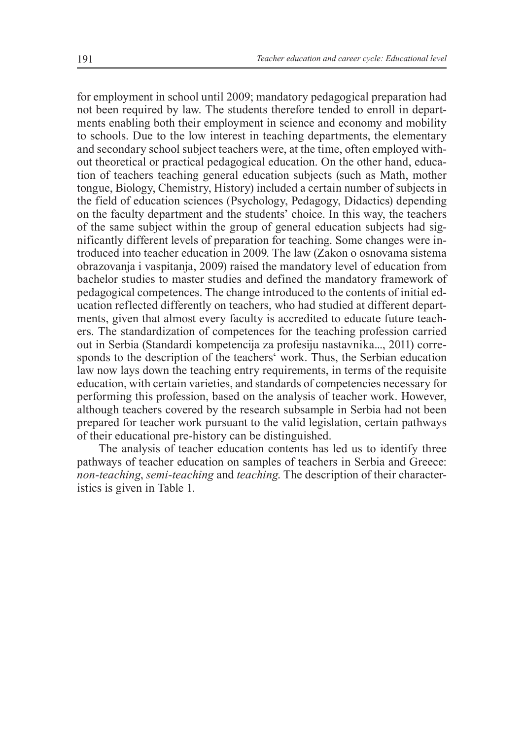for employment in school until 2009; mandatory pedagogical preparation had not been required by law. The students therefore tended to enroll in departments enabling both their employment in science and economy and mobility to schools. Due to the low interest in teaching departments, the elementary and secondary school subject teachers were, at the time, often employed without theoretical or practical pedagogical education. On the other hand, education of teachers teaching general education subjects (such as Math, mother tongue, Biology, Chemistry, History) included a certain number of subjects in the field of education sciences (Psychology, Pedagogy, Didactics) depending on the faculty department and the students' choice. In this way, the teachers of the same subject within the group of general education subjects had significantly different levels of preparation for teaching. Some changes were introduced into teacher education in 2009. The law (Zakon o osnovama sistema obrazovanja i vaspitanja, 2009) raised the mandatory level of education from bachelor studies to master studies and defined the mandatory framework of pedagogical competences. The change introduced to the contents of initial education reflected differently on teachers, who had studied at different departments, given that almost every faculty is accredited to educate future teachers. The standardization of competences for the teaching profession carried out in Serbia (Standardi kompetencija za profesiju nastavnika..., 2011) corresponds to the description of the teachers' work. Thus, the Serbian education law now lays down the teaching entry requirements, in terms of the requisite education, with certain varieties, and standards of competencies necessary for performing this profession, based on the analysis of teacher work. However, although teachers covered by the research subsample in Serbia had not been prepared for teacher work pursuant to the valid legislation, certain pathways of their educational pre-history can be distinguished.

The analysis of teacher education contents has led us to identify three pathways of teacher education on samples of teachers in Serbia and Greece: *non-teaching*, *semi-teaching* and *teaching*. The description of their characteristics is given in Table 1.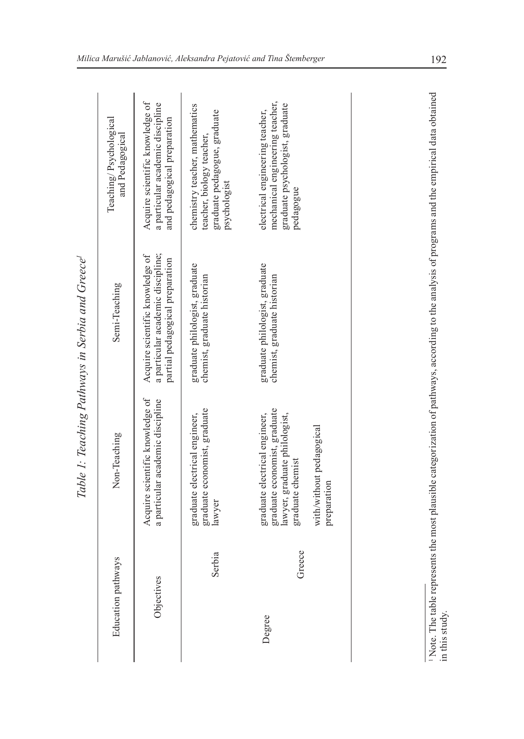| Education pathways |        | Non-Teaching                                                                                                       | Semi-Teaching                                                                                                                                   | Teaching/Psychological<br>and Pedagogical                                                                          |
|--------------------|--------|--------------------------------------------------------------------------------------------------------------------|-------------------------------------------------------------------------------------------------------------------------------------------------|--------------------------------------------------------------------------------------------------------------------|
| Objectives         |        | Acquire scientific knowledge of<br>a particular academic discipline                                                | a particular academic discipline;<br>Acquire scientific knowledge of<br>partial pedagogical preparation                                         | Acquire scientific knowledge of<br>a particular academic discipline<br>and pedagogical preparation                 |
| S                  | serbia | graduate economist, graduate<br>graduate electrical engineer,<br>lawyer                                            | graduate philologist, graduate<br>chemist, graduate historian                                                                                   | chemistry teacher, mathematics<br>graduate pedagogue, graduate<br>teacher, biology teacher,<br>psychologist        |
| Degree             | Greece | graduate economist, graduate<br>graduate electrical engineer,<br>lawyer, graduate philologist,<br>graduate chemist | graduate philologist, graduate<br>chemist, graduate historian                                                                                   | mechanical engineering teacher,<br>graduate psychologist, graduate<br>electrical engineering teacher,<br>pedagogue |
|                    |        | with/without pedagogical<br>preparation                                                                            |                                                                                                                                                 |                                                                                                                    |
|                    |        |                                                                                                                    |                                                                                                                                                 |                                                                                                                    |
| in this study.     |        |                                                                                                                    | Note. The table represents the most plausible categorization of pathways, according to the analysis of programs and the empirical data obtained |                                                                                                                    |

Table 1: Teaching Pathways in Serbia and Greece *Table 1: Teaching Pathways in Serbia and Greece*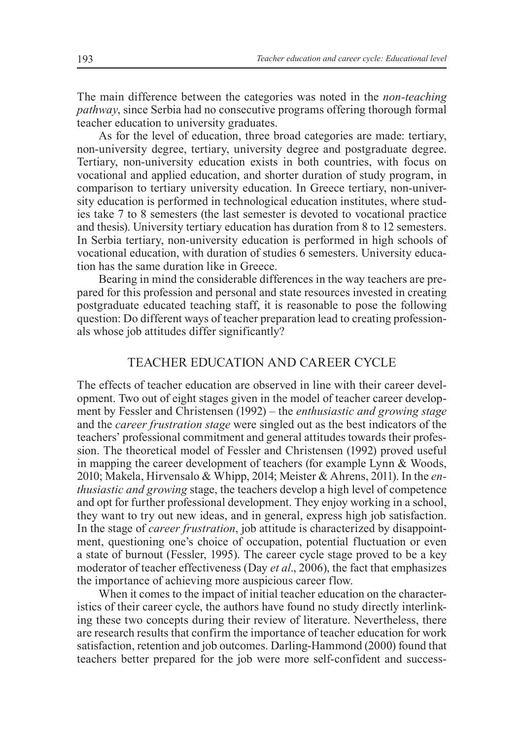The main difference between the categories was noted in the *non-teaching pathway*, since Serbia had no consecutive programs offering thorough formal teacher education to university graduates.

As for the level of education, three broad categories are made: tertiary, non-university degree, tertiary, university degree and postgraduate degree. Tertiary, non-university education exists in both countries, with focus on vocational and applied education, and shorter duration of study program, in comparison to tertiary university education. In Greece tertiary, non-university education is performed in technological education institutes, where studies take 7 to 8 semesters (the last semester is devoted to vocational practice and thesis). University tertiary education has duration from 8 to 12 semesters. In Serbia tertiary, non-university education is performed in high schools of vocational education, with duration of studies 6 semesters. University education has the same duration like in Greece.

Bearing in mind the considerable differences in the way teachers are prepared for this profession and personal and state resources invested in creating postgraduate educated teaching staff, it is reasonable to pose the following question: Do different ways of teacher preparation lead to creating professionals whose job attitudes differ significantly?

## Teacher Education and Career Cycle

The effects of teacher education are observed in line with their career development. Two out of eight stages given in the model of teacher career development by Fessler and Christensen (1992) – the *enthusiastic and growing stage*  and the *career frustration stage* were singled out as the best indicators of the teachers' professional commitment and general attitudes towards their profession. The theoretical model of Fessler and Christensen (1992) proved useful in mapping the career development of teachers (for example Lynn & Woods, 2010; Makela, Hirvensalo & Whipp, 2014; Meister & Ahrens, 2011). In the *enthusiastic and growing* stage, the teachers develop a high level of competence and opt for further professional development. They enjoy working in a school, they want to try out new ideas, and in general, express high job satisfaction. In the stage of *career frustration*, job attitude is characterized by disappointment, questioning one's choice of occupation, potential fluctuation or even a state of burnout (Fessler, 1995). The career cycle stage proved to be a key moderator of teacher effectiveness (Day *et al*., 2006), the fact that emphasizes the importance of achieving more auspicious career flow.

When it comes to the impact of initial teacher education on the characteristics of their career cycle, the authors have found no study directly interlinking these two concepts during their review of literature. Nevertheless, there are research results that confirm the importance of teacher education for work satisfaction, retention and job outcomes. Darling-Hammond (2000) found that teachers better prepared for the job were more self-confident and success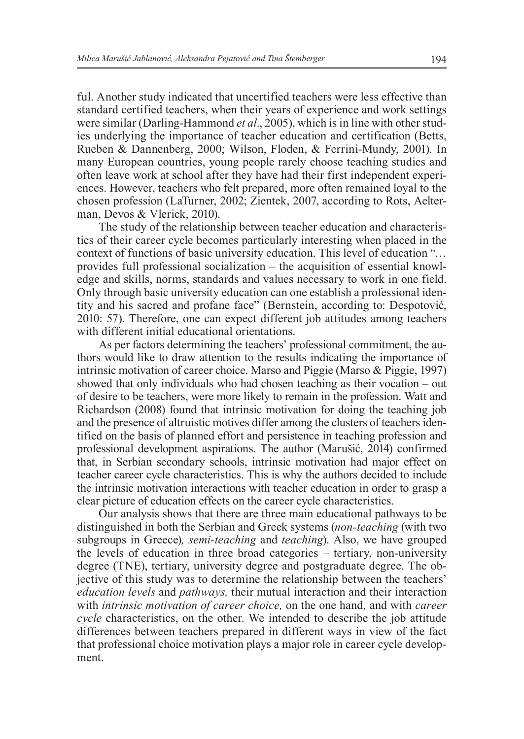ful. Another study indicated that uncertified teachers were less effective than standard certified teachers, when their years of experience and work settings were similar (Darling-Hammond *et al*., 2005), which is in line with other studies underlying the importance of teacher education and certification (Betts, Rueben & Dannenberg, 2000; Wilson, Floden, & Ferrini-Mundy, 2001). In many European countries, young people rarely choose teaching studies and often leave work at school after they have had their first independent experiences. However, teachers who felt prepared, more often remained loyal to the chosen profession (LaTurner, 2002; Zientek, 2007, according to Rots, Aelterman, Devos & Vlerick, 2010).

The study of the relationship between teacher education and characteristics of their career cycle becomes particularly interesting when placed in the context of functions of basic university education. This level of education "… provides full professional socialization – the acquisition of essential knowledge and skills, norms, standards and values necessary to work in one field. Only through basic university education can one establish a professional identity and his sacred and profane face" (Bernstein, according to: Despotović, 2010: 57). Therefore, one can expect different job attitudes among teachers with different initial educational orientations.

As per factors determining the teachers' professional commitment, the authors would like to draw attention to the results indicating the importance of intrinsic motivation of career choice. Marso and Piggie (Marso & Piggie, 1997) showed that only individuals who had chosen teaching as their vocation – out of desire to be teachers, were more likely to remain in the profession. Watt and Richardson (2008) found that intrinsic motivation for doing the teaching job and the presence of altruistic motives differ among the clusters of teachers identified on the basis of planned effort and persistence in teaching profession and professional development aspirations. The author (Marušić, 2014) confirmed that, in Serbian secondary schools, intrinsic motivation had major effect on teacher career cycle characteristics. This is why the authors decided to include the intrinsic motivation interactions with teacher education in order to grasp a clear picture of education effects on the career cycle characteristics.

Our analysis shows that there are three main educational pathways to be distinguished in both the Serbian and Greek systems (*non-teaching* (with two subgroups in Greece)*, semi-teaching* and *teaching*). Also, we have grouped the levels of education in three broad categories – tertiary, non-university degree (TNE), tertiary, university degree and postgraduate degree. The objective of this study was to determine the relationship between the teachers' *education levels* and *pathways,* their mutual interaction and their interaction with *intrinsic motivation of career choice,* on the one hand*,* and with *career cycle* characteristics, on the other. We intended to describe the job attitude differences between teachers prepared in different ways in view of the fact that professional choice motivation plays a major role in career cycle development.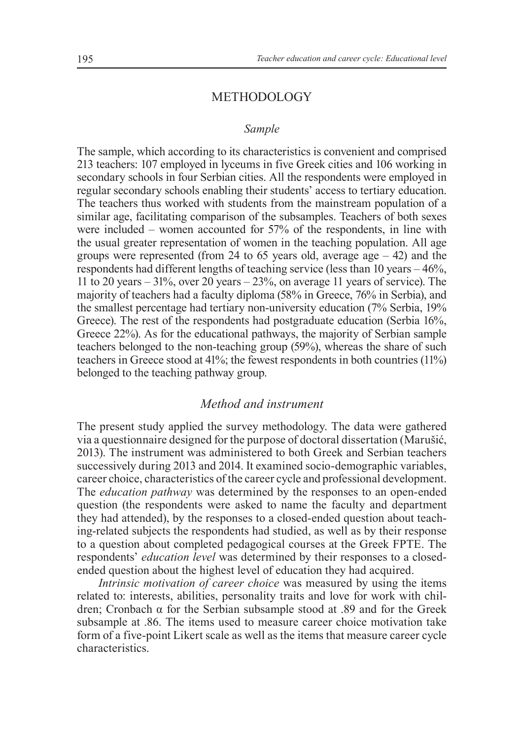## **METHODOLOGY**

### *Sample*

The sample, which according to its characteristics is convenient and comprised 213 teachers: 107 employed in lyceums in five Greek cities and 106 working in secondary schools in four Serbian cities. All the respondents were employed in regular secondary schools enabling their students' access to tertiary education. The teachers thus worked with students from the mainstream population of a similar age, facilitating comparison of the subsamples. Teachers of both sexes were included – women accounted for 57% of the respondents, in line with the usual greater representation of women in the teaching population. All age groups were represented (from 24 to 65 years old, average  $age - 42$ ) and the respondents had different lengths of teaching service (less than 10 years – 46%, 11 to 20 years – 31%, over 20 years – 23%, on average 11 years of service). The majority of teachers had a faculty diploma (58% in Greece, 76% in Serbia), and the smallest percentage had tertiary non-university education (7% Serbia, 19% Greece). The rest of the respondents had postgraduate education (Serbia 16%, Greece 22%). As for the educational pathways, the majority of Serbian sample teachers belonged to the non-teaching group (59%), whereas the share of such teachers in Greece stood at 41%; the fewest respondents in both countries (11%) belonged to the teaching pathway group.

## *Method and instrument*

The present study applied the survey methodology. The data were gathered via a questionnaire designed for the purpose of doctoral dissertation (Marušić, 2013). The instrument was administered to both Greek and Serbian teachers successively during 2013 and 2014. It examined socio-demographic variables, career choice, characteristics of the career cycle and professional development. The *education pathway* was determined by the responses to an open-ended question (the respondents were asked to name the faculty and department they had attended), by the responses to a closed-ended question about teaching-related subjects the respondents had studied, as well as by their response to a question about completed pedagogical courses at the Greek FPTE. The respondents' *education level* was determined by their responses to a closedended question about the highest level of education they had acquired.

*Intrinsic motivation of career choice* was measured by using the items related to: interests, abilities, personality traits and love for work with children; Cronbach α for the Serbian subsample stood at .89 and for the Greek subsample at .86. The items used to measure career choice motivation take form of a five-point Likert scale as well as the items that measure career cycle characteristics.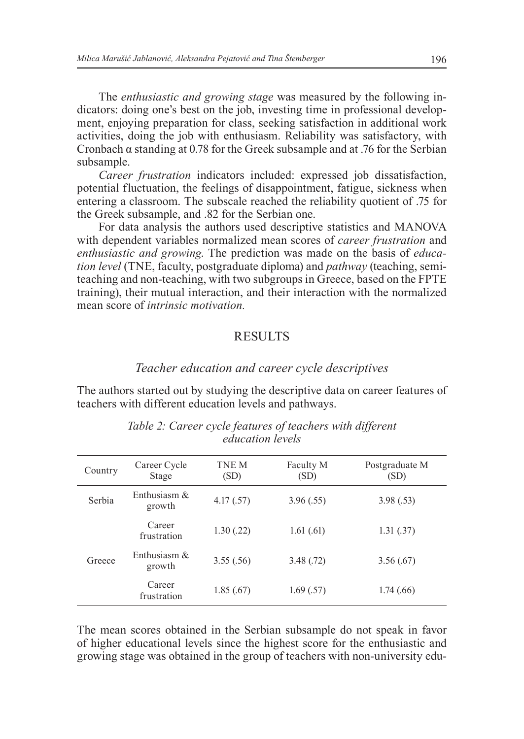The *enthusiastic and growing stage* was measured by the following indicators: doing one's best on the job, investing time in professional development, enjoying preparation for class, seeking satisfaction in additional work activities, doing the job with enthusiasm. Reliability was satisfactory, with Cronbach α standing at 0.78 for the Greek subsample and at .76 for the Serbian subsample.

*Career frustration* indicators included: expressed job dissatisfaction, potential fluctuation, the feelings of disappointment, fatigue, sickness when entering a classroom. The subscale reached the reliability quotient of .75 for the Greek subsample, and .82 for the Serbian one.

For data analysis the authors used descriptive statistics and MANOVA with dependent variables normalized mean scores of *career frustration* and *enthusiastic and growing*. The prediction was made on the basis of *education level* (TNE, faculty, postgraduate diploma) and *pathway* (teaching, semiteaching and non-teaching, with two subgroups in Greece, based on the FPTE training), their mutual interaction, and their interaction with the normalized mean score of *intrinsic motivation.* 

#### **RESULTS**

#### *Teacher education and career cycle descriptives*

The authors started out by studying the descriptive data on career features of teachers with different education levels and pathways.

| Country | Career Cycle<br>Stage     | TNE M<br>(SD) | Faculty M<br>(SD) | Postgraduate M<br>(SD) |
|---------|---------------------------|---------------|-------------------|------------------------|
| Serbia  | Enthusiasm $\&$<br>growth | 4.17(.57)     | 3.96(.55)         | 3.98(.53)              |
|         | Career<br>frustration     | 1.30(.22)     | 1.61(61)          | 1.31(.37)              |
| Greece  | Enthusiasm $\&$<br>growth | 3.55(.56)     | 3.48(.72)         | 3.56(.67)              |
|         | Career<br>frustration     | 1.85(.67)     | 1.69(.57)         | 1.74(0.66)             |
|         |                           |               |                   |                        |

*Table 2: Career cycle features of teachers with different education levels*

The mean scores obtained in the Serbian subsample do not speak in favor of higher educational levels since the highest score for the enthusiastic and growing stage was obtained in the group of teachers with non-university edu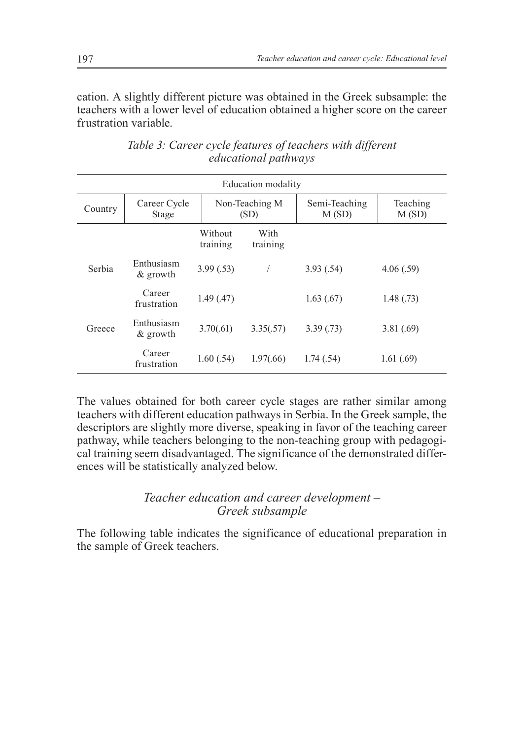cation. A slightly different picture was obtained in the Greek subsample: the teachers with a lower level of education obtained a higher score on the career frustration variable.

|         |                           |                     | Education modality     |                        |                   |
|---------|---------------------------|---------------------|------------------------|------------------------|-------------------|
| Country | Career Cycle<br>Stage     |                     | Non-Teaching M<br>(SD) | Semi-Teaching<br>M(SD) | Teaching<br>M(SD) |
|         |                           | Without<br>training | With<br>training       |                        |                   |
| Serbia  | Enthusiasm<br>$\&$ growth | 3.99(.53)           |                        | 3.93(.54)              | 4.06(.59)         |
|         | Career<br>frustration     | 1.49(0.47)          |                        | 1.63(67)               | 1.48(0.73)        |
| Greece  | Enthusiasm<br>$\&$ growth | 3.70(.61)           | 3.35(.57)              | 3.39(0.73)             | 3.81(.69)         |
|         | Career<br>frustration     | 1.60(.54)           | 1.97(.66)              | 1.74(.54)              | 1.61(0.69)        |

*Table 3: Career cycle features of teachers with different educational pathways*

The values obtained for both career cycle stages are rather similar among teachers with different education pathways in Serbia. In the Greek sample, the descriptors are slightly more diverse, speaking in favor of the teaching career pathway, while teachers belonging to the non-teaching group with pedagogical training seem disadvantaged. The significance of the demonstrated differences will be statistically analyzed below.

# *Teacher education and career development – greek subsample*

The following table indicates the significance of educational preparation in the sample of Greek teachers.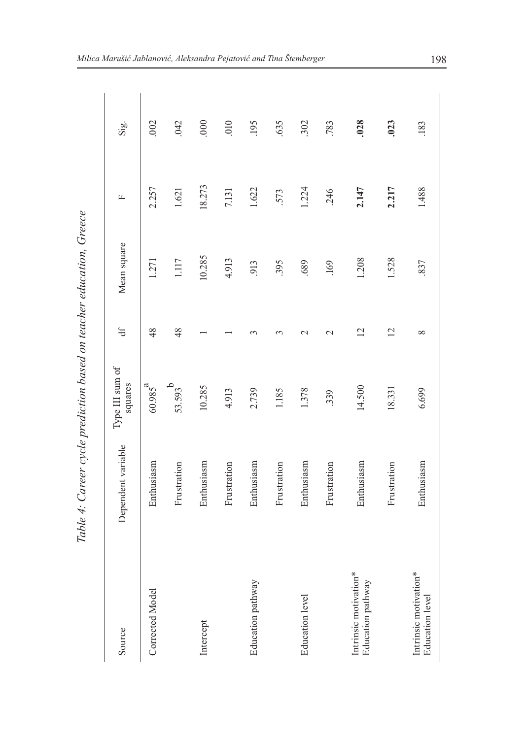| $\ddotsc$<br>$\zeta$                                 | I         |
|------------------------------------------------------|-----------|
| מוסטי רזירום מויסמורומט ממט מסו וסמראפי פטוומט מסיים |           |
|                                                      |           |
|                                                      | יי יוש שט |
|                                                      |           |
|                                                      | İ         |
| Ì                                                    |           |
|                                                      | í         |

| Source                                          | Dependent variable | Type III sum of<br>squares | $\ddot{d}$         | Mean square | 匞      | $\overline{\text{Si}}$ |
|-------------------------------------------------|--------------------|----------------------------|--------------------|-------------|--------|------------------------|
| Corrected Model                                 | Enthusiasm         | $60.985^{a}$               | 48                 | 1.271       | 2.257  | .002                   |
|                                                 | Frustration        | 53.593 <sup>b</sup>        | 48                 | 1.117       | 1.621  | 042                    |
| Intercept                                       | Enthusiasm         | 10.285                     |                    | 10.285      | 18.273 | 000                    |
|                                                 | Frustration        | 4.913                      |                    | 4.913       | 7.131  | 010                    |
| Education pathway                               | Enthusiasm         | 2.739                      | ↶                  | 913         | 1.622  | 195                    |
|                                                 | Frustration        | 1.185                      | 3                  | 395         | 573    | 635                    |
| <b>Education</b> level                          | Enthusiasm         | 1.378                      | $\scriptstyle\sim$ | .689        | 1.224  | 302                    |
|                                                 | Frustration        | 339                        | $\mathcal{C}$      | .169        | 246    | 783                    |
| Intrinsic motivation*<br>Education pathway      | Enthusiasm         | 14.500                     | $\overline{2}$     | 1.208       | 2.147  | .028                   |
|                                                 | Frustration        | 18.331                     | $\overline{c}$     | 1.528       | 2.217  | .023                   |
| Intrinsic motivation*<br><b>Education</b> level | Enthusiasm         | 6.699                      | ∞                  | .837        | 1.488  | .183                   |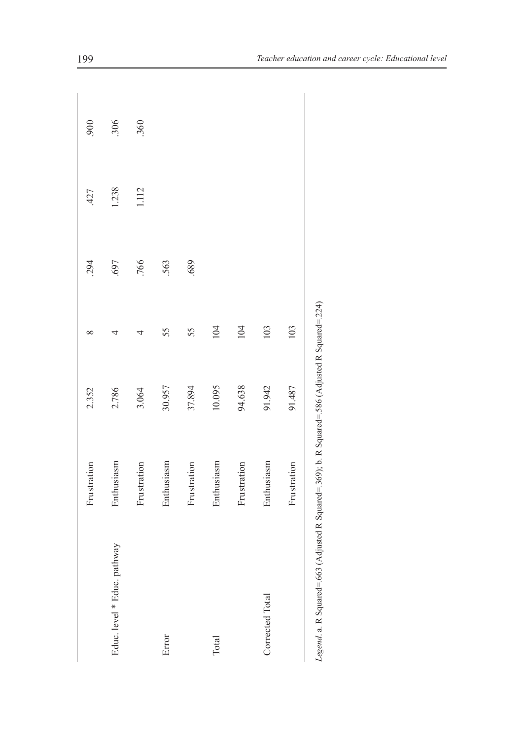|                                                                                                  | Frustration | 2.352  | $\infty$ | 294  | 427   | 900 |
|--------------------------------------------------------------------------------------------------|-------------|--------|----------|------|-------|-----|
| pathway<br>Educ. level * Educ.                                                                   | Enthusiasm  | 2.786  | 4        | .697 | 1.238 | 306 |
|                                                                                                  | Frustration | 3.064  | 4        | .766 | 1.112 | 360 |
| Error                                                                                            | Enthusiasm  | 30.957 | 55       | 563  |       |     |
|                                                                                                  | Frustration | 37.894 | 55       | 689  |       |     |
| Total                                                                                            | Enthusiasm  | 10.095 | 104      |      |       |     |
|                                                                                                  | Frustration | 94.638 | 104      |      |       |     |
| Corrected Total                                                                                  | Enthusiasm  | 91.942 | 103      |      |       |     |
|                                                                                                  | Frustration | 91.487 | 103      |      |       |     |
| Legend. a. R Squared=.663 (Adjusted R Squared=.369); b. R Squared=.586 (Adjusted R Squared=.224) |             |        |          |      |       |     |

| $\frac{1}{2}$<br>!<br>! |  |
|-------------------------|--|
| II<br>l                 |  |
| ļ                       |  |
| l                       |  |
| į<br>Ì<br>I<br>ı<br>Ì   |  |
| j                       |  |
|                         |  |
| í<br>l<br>ı             |  |
| ļ<br>ļ                  |  |
|                         |  |
| l<br>i                  |  |
|                         |  |
| ļ<br>ı<br>l             |  |
| I                       |  |
|                         |  |
| n n<br>ì                |  |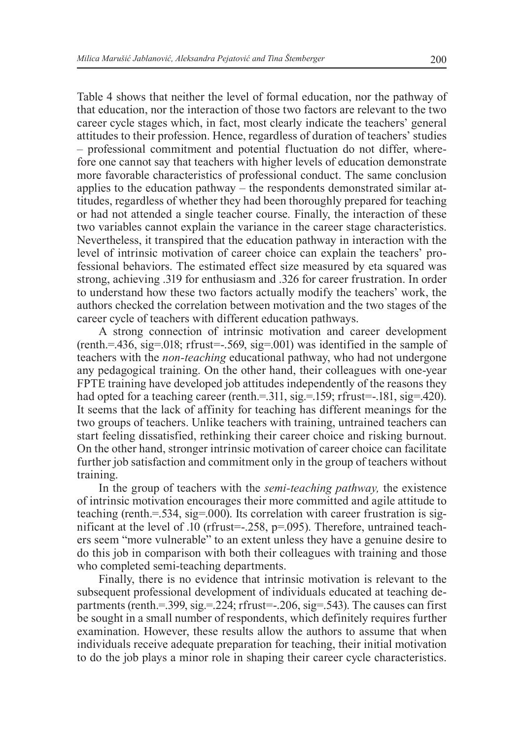Table 4 shows that neither the level of formal education, nor the pathway of that education, nor the interaction of those two factors are relevant to the two career cycle stages which, in fact, most clearly indicate the teachers' general attitudes to their profession. Hence, regardless of duration of teachers' studies – professional commitment and potential fluctuation do not differ, wherefore one cannot say that teachers with higher levels of education demonstrate more favorable characteristics of professional conduct. The same conclusion applies to the education pathway – the respondents demonstrated similar attitudes, regardless of whether they had been thoroughly prepared for teaching or had not attended a single teacher course. Finally, the interaction of these two variables cannot explain the variance in the career stage characteristics. Nevertheless, it transpired that the education pathway in interaction with the level of intrinsic motivation of career choice can explain the teachers' professional behaviors. The estimated effect size measured by eta squared was strong, achieving .319 for enthusiasm and .326 for career frustration. In order to understand how these two factors actually modify the teachers' work, the authors checked the correlation between motivation and the two stages of the career cycle of teachers with different education pathways.

A strong connection of intrinsic motivation and career development (renth.=.436, sig=.018; rfrust=-.569, sig=.001) was identified in the sample of teachers with the *non-teaching* educational pathway, who had not undergone any pedagogical training. On the other hand, their colleagues with one-year FPTE training have developed job attitudes independently of the reasons they had opted for a teaching career (renth.=.311, sig.=.159; rfrust=-.181, sig=.420). It seems that the lack of affinity for teaching has different meanings for the two groups of teachers. Unlike teachers with training, untrained teachers can start feeling dissatisfied, rethinking their career choice and risking burnout. On the other hand, stronger intrinsic motivation of career choice can facilitate further job satisfaction and commitment only in the group of teachers without training.

In the group of teachers with the *semi-teaching pathway,* the existence of intrinsic motivation encourages their more committed and agile attitude to teaching (renth.=.534, sig=.000). Its correlation with career frustration is significant at the level of .10 (rfrust=-.258, p=.095). Therefore, untrained teachers seem "more vulnerable" to an extent unless they have a genuine desire to do this job in comparison with both their colleagues with training and those who completed semi-teaching departments.

Finally, there is no evidence that intrinsic motivation is relevant to the subsequent professional development of individuals educated at teaching departments (renth.=.399, sig.=.224; rfrust= $-0.206$ , sig=.543). The causes can first be sought in a small number of respondents, which definitely requires further examination. However, these results allow the authors to assume that when individuals receive adequate preparation for teaching, their initial motivation to do the job plays a minor role in shaping their career cycle characteristics.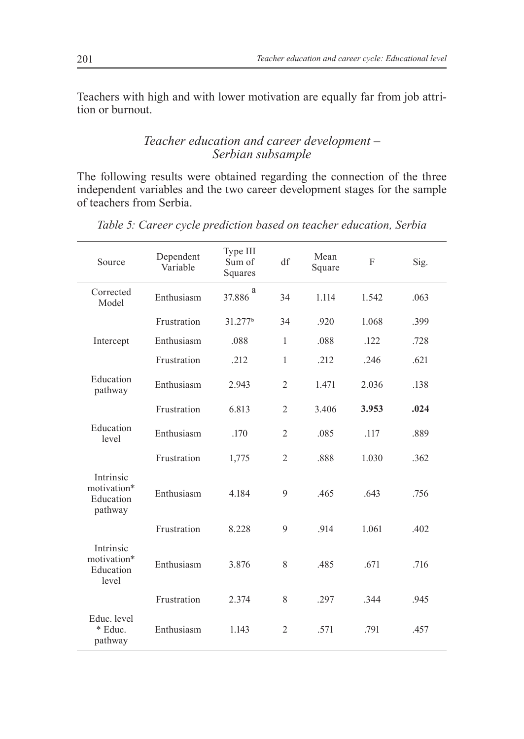Teachers with high and with lower motivation are equally far from job attrition or burnout.

# *Teacher education and career development – Serbian subsample*

The following results were obtained regarding the connection of the three independent variables and the two career development stages for the sample of teachers from Serbia.

| Source                                           | Dependent<br>Variable | Type III<br>Sum of<br>Squares | df             | Mean<br>Square | F     | Sig. |
|--------------------------------------------------|-----------------------|-------------------------------|----------------|----------------|-------|------|
| Corrected<br>Model                               | Enthusiasm            | a<br>37.886                   | 34             | 1.114          | 1.542 | .063 |
|                                                  | Frustration           | 31.277 <sup>b</sup>           | 34             | .920           | 1.068 | .399 |
| Intercept                                        | Enthusiasm            | .088                          | $\mathbf{1}$   | .088           | .122  | .728 |
|                                                  | Frustration           | .212                          | $\mathbf{1}$   | .212           | .246  | .621 |
| Education<br>pathway                             | Enthusiasm            | 2.943                         | $\overline{2}$ | 1.471          | 2.036 | .138 |
|                                                  | Frustration           | 6.813                         | $\overline{2}$ | 3.406          | 3.953 | .024 |
| Education<br>level                               | Enthusiasm            | .170                          | $\overline{2}$ | .085           | .117  | .889 |
|                                                  | Frustration           | 1,775                         | $\overline{2}$ | .888           | 1.030 | .362 |
| Intrinsic<br>motivation*<br>Education<br>pathway | Enthusiasm            | 4.184                         | 9              | .465           | .643  | .756 |
|                                                  | Frustration           | 8.228                         | 9              | .914           | 1.061 | .402 |
| Intrinsic<br>motivation*<br>Education<br>level   | Enthusiasm            | 3.876                         | 8              | .485           | .671  | .716 |
|                                                  | Frustration           | 2.374                         | 8              | .297           | .344  | .945 |
| Educ. level<br>* Educ.<br>pathway                | Enthusiasm            | 1.143                         | $\overline{2}$ | .571           | .791  | .457 |

*Table 5: Career cycle prediction based on teacher education, Serbia*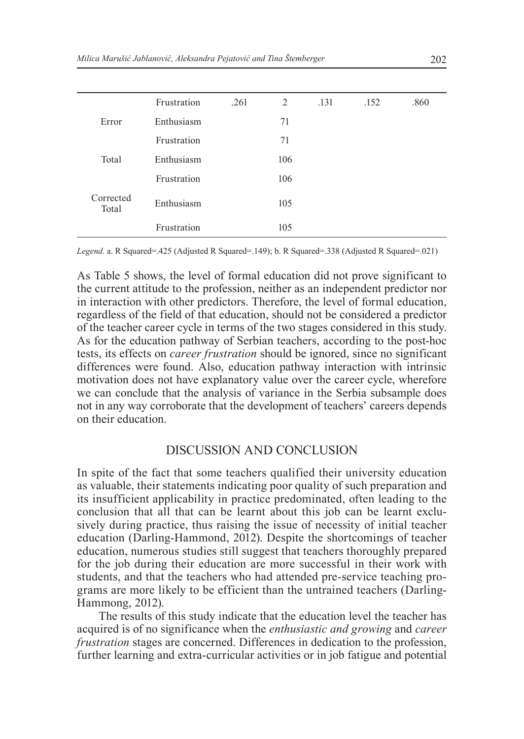|                    | Frustration | .261 | 2   | .131 | .152 | .860 |
|--------------------|-------------|------|-----|------|------|------|
| Error              | Enthusiasm  |      | 71  |      |      |      |
|                    | Frustration |      | 71  |      |      |      |
| Total              | Enthusiasm  |      | 106 |      |      |      |
|                    | Frustration |      | 106 |      |      |      |
| Corrected<br>Total | Enthusiasm  |      | 105 |      |      |      |
|                    | Frustration |      | 105 |      |      |      |

*Legend.* a. R Squared=.425 (Adjusted R Squared=.149); b. R Squared=.338 (Adjusted R Squared=.021)

As Table 5 shows, the level of formal education did not prove significant to the current attitude to the profession, neither as an independent predictor nor in interaction with other predictors. Therefore, the level of formal education, regardless of the field of that education, should not be considered a predictor of the teacher career cycle in terms of the two stages considered in this study. As for the education pathway of Serbian teachers, according to the post-hoc tests, its effects on *career frustration* should be ignored, since no significant differences were found. Also, education pathway interaction with intrinsic motivation does not have explanatory value over the career cycle, wherefore we can conclude that the analysis of variance in the Serbia subsample does not in any way corroborate that the development of teachers' careers depends on their education.

#### Discussion and Conclusion

In spite of the fact that some teachers qualified their university education as valuable, their statements indicating poor quality of such preparation and its insufficient applicability in practice predominated, often leading to the conclusion that all that can be learnt about this job can be learnt exclusively during practice, thus raising the issue of necessity of initial teacher education (Darling-Hammond, 2012). Despite the shortcomings of teacher education, numerous studies still suggest that teachers thoroughly prepared for the job during their education are more successful in their work with students, and that the teachers who had attended pre-service teaching programs are more likely to be efficient than the untrained teachers (Darling-Hammong, 2012).

The results of this study indicate that the education level the teacher has acquired is of no significance when the *enthusiastic and growing* and *career frustration* stages are concerned. Differences in dedication to the profession, further learning and extra-curricular activities or in job fatigue and potential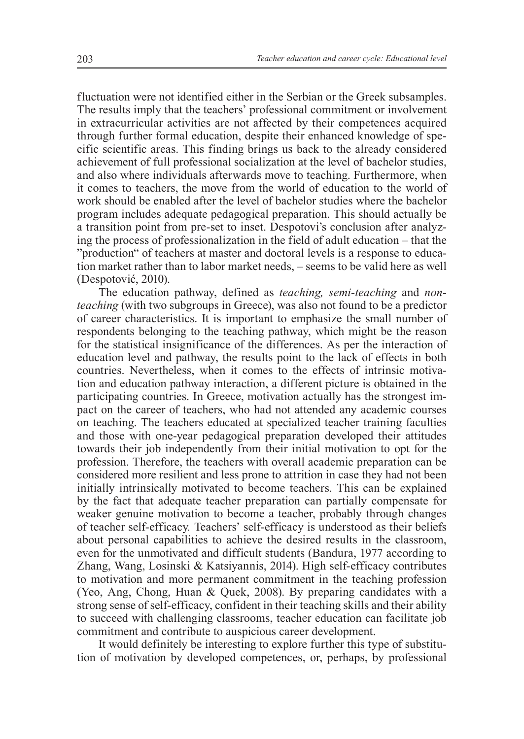fluctuation were not identified either in the Serbian or the Greek subsamples. The results imply that the teachers' professional commitment or involvement in extracurricular activities are not affected by their competences acquired through further formal education, despite their enhanced knowledge of specific scientific areas. This finding brings us back to the already considered achievement of full professional socialization at the level of bachelor studies, and also where individuals afterwards move to teaching. Furthermore, when it comes to teachers, the move from the world of education to the world of work should be enabled after the level of bachelor studies where the bachelor program includes adequate pedagogical preparation. This should actually be a transition point from pre-set to inset. Despotovi's conclusion after analyzing the process of professionalization in the field of adult education – that the "production" of teachers at master and doctoral levels is a response to education market rather than to labor market needs, – seems to be valid here as well (Despotović, 2010).

The education pathway, defined as *teaching, semi-teaching* and *nonteaching* (with two subgroups in Greece), was also not found to be a predictor of career characteristics. It is important to emphasize the small number of respondents belonging to the teaching pathway, which might be the reason for the statistical insignificance of the differences. As per the interaction of education level and pathway, the results point to the lack of effects in both countries. Nevertheless, when it comes to the effects of intrinsic motivation and education pathway interaction, a different picture is obtained in the participating countries. In Greece, motivation actually has the strongest impact on the career of teachers, who had not attended any academic courses on teaching. The teachers educated at specialized teacher training faculties and those with one-year pedagogical preparation developed their attitudes towards their job independently from their initial motivation to opt for the profession. Therefore, the teachers with overall academic preparation can be considered more resilient and less prone to attrition in case they had not been initially intrinsically motivated to become teachers. This can be explained by the fact that adequate teacher preparation can partially compensate for weaker genuine motivation to become a teacher, probably through changes of teacher self-efficacy*.* Teachers' self-efficacy is understood as their beliefs about personal capabilities to achieve the desired results in the classroom, even for the unmotivated and difficult students (Bandura, 1977 according to Zhang, Wang, Losinski & Katsiyannis, 2014). High self-efficacy contributes to motivation and more permanent commitment in the teaching profession (Yeo, Ang, Chong, Huan & Quek, 2008). By preparing candidates with a strong sense of self-efficacy, confident in their teaching skills and their ability to succeed with challenging classrooms, teacher education can facilitate job commitment and contribute to auspicious career development.

It would definitely be interesting to explore further this type of substitution of motivation by developed competences, or, perhaps, by professional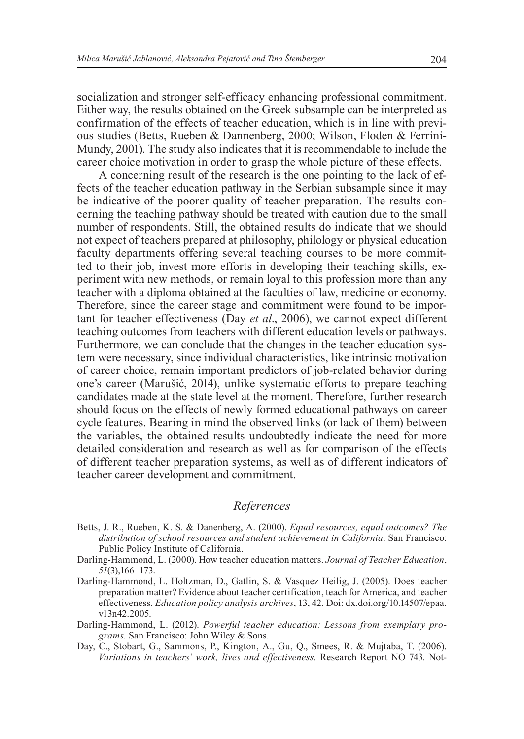socialization and stronger self-efficacy enhancing professional commitment. Either way, the results obtained on the Greek subsample can be interpreted as confirmation of the effects of teacher education, which is in line with previous studies (Betts, Rueben & Dannenberg, 2000; Wilson, Floden & Ferrini-Mundy, 2001). The study also indicates that it is recommendable to include the career choice motivation in order to grasp the whole picture of these effects.

A concerning result of the research is the one pointing to the lack of effects of the teacher education pathway in the Serbian subsample since it may be indicative of the poorer quality of teacher preparation. The results concerning the teaching pathway should be treated with caution due to the small number of respondents. Still, the obtained results do indicate that we should not expect of teachers prepared at philosophy, philology or physical education faculty departments offering several teaching courses to be more committed to their job, invest more efforts in developing their teaching skills, experiment with new methods, or remain loyal to this profession more than any teacher with a diploma obtained at the faculties of law, medicine or economy. Therefore, since the career stage and commitment were found to be important for teacher effectiveness (Day *et al*., 2006), we cannot expect different teaching outcomes from teachers with different education levels or pathways. Furthermore, we can conclude that the changes in the teacher education system were necessary, since individual characteristics, like intrinsic motivation of career choice, remain important predictors of job-related behavior during one's career (Marušić, 2014), unlike systematic efforts to prepare teaching candidates made at the state level at the moment. Therefore, further research should focus on the effects of newly formed educational pathways on career cycle features. Bearing in mind the observed links (or lack of them) between the variables, the obtained results undoubtedly indicate the need for more detailed consideration and research as well as for comparison of the effects of different teacher preparation systems, as well as of different indicators of teacher career development and commitment.

## *References*

- Betts, J. R., Rueben, K. S. & Danenberg, A. (2000). *Equal resources, equal outcomes? The distribution of school resources and student achievement in California*. San Francisco: Public Policy Institute of California.
- Darling-Hammond, L. (2000). How teacher education matters. *Journal of Teacher Education*, *51*(3),166–173.
- Darling-Hammond, L. Holtzman, D., Gatlin, S. & Vasquez Heilig, J. (2005). Does teacher preparation matter? Evidence about teacher certification, teach for America, and teacher effectiveness. *Education policy analysis archives*, 13, 42. Doi: dx.doi.org/10.14507/epaa. v13n42.2005.
- Darling-Hammond, L. (2012). *Powerful teacher education: Lessons from exemplary programs.* San Francisco: John Wiley & Sons.
- Day, C., Stobart, G., Sammons, P., Kington, A., Gu, Q., Smees, R. & Mujtaba, T. (2006). *Variations in teachers' work, lives and effectiveness.* Research Report NO 743. Not-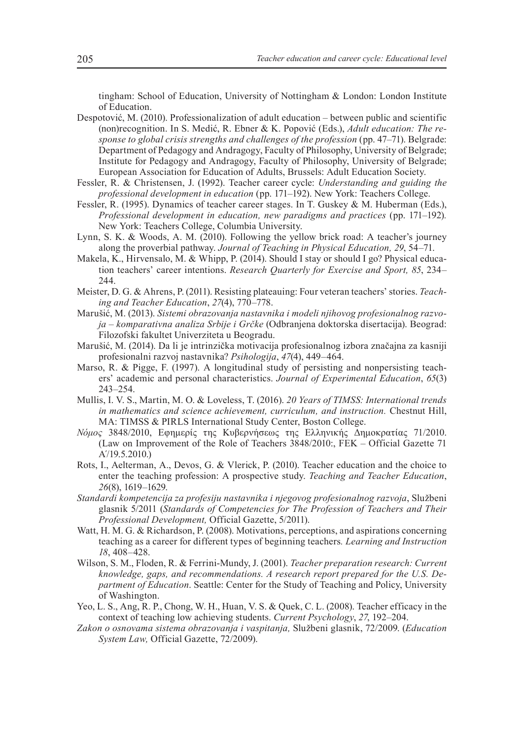tingham: School of Education, University of Nottingham & London: London Institute of Education.

Despotović, M. (2010). Professionalization of adult education – between public and scientific (non)recognition. In S. Medić, R. Ebner & K. Popović (Eds.), *Adult education: The response to global crisis strengths and challenges of the profession* (pp. 47–71). Belgrade: Department of Pedagogy and Andragogy, Faculty of Philosophy, University of Belgrade; Institute for Pedagogy and Andragogy, Faculty of Philosophy, University of Belgrade; European Association for Education of Adults, Brussels: Adult Education Society.

- Fessler, R. & Christensen, J. (1992). Teacher career cycle: *Understanding and guiding the professional development in education* (pp. 171–192). New York: Teachers College.
- Fessler, R. (1995). Dynamics of teacher career stages. In T. Guskey & M. Huberman (Eds.), *Professional development in education, new paradigms and practices* (pp. 171–192)*.* New York: Teachers College, Columbia University.
- Lynn, S. K. & Woods, A. M. (2010). Following the yellow brick road: A teacher's journey along the proverbial pathway. *Journal of Teaching in Physical Education, 29*, 54–71.
- Makela, K., Hirvensalo, M. & Whipp, P. (2014). Should I stay or should I go? Physical education teachers' career intentions. *Research Quarterly for Exercise and Sport, 85*, 234– 244.
- Meister, D. G. & Ahrens, P. (2011). Resisting plateauing: Four veteran teachers' stories. *Teaching and Teacher Education*, *27*(4), 770–778.
- Marušić, M. (2013). *Sistemi obrazovanja nastavnika i modeli njihovog profesionalnog razvoja – komparativna analiza Srbije i Grčke* (Odbranjena doktorska disertacija). Beograd: Filozofski fakultet Univerziteta u Beogradu.
- Marušić, M. (2014). Da li je intrinzička motivacija profesionalnog izbora značajna za kasniji profesionalni razvoj nastavnika? *Psihologija*, *47*(4), 449–464.
- Marso, R. & Pigge, F. (1997). A longitudinal study of persisting and nonpersisting teachers' academic and personal characteristics. *Journal of Experimental Education*, *65*(3) 243–254.
- Mullis, I. V. S., Martin, M. O. & Loveless, T. (2016). *20 Years of TIMSS: International trends in mathematics and science achievement, curriculum, and instruction.* Chestnut Hill, MA: TIMSS & PIRLS International Study Center, Boston College.
- *Νόμος* 3848/2010, Εφημερίς της Κυβερνήσεως της Ελληνικής Δημοκρατίας 71/2010. (Law on Improvement of the Role of Teachers 3848/2010:, FEK – Official Gazette 71 Α΄/19.5.2010.)
- Rots, I., Aelterman, A., Devos, G. & Vlerick, P. (2010). Teacher education and the choice to enter the teaching profession: A prospective study. *Teaching and Teacher Education*, *26*(8), 1619–1629.
- *Standardi kompetencija za profesiju nastavnika i njegovog profesionalnog razvoja*, Službeni glasnik 5/2011 (*Standards of Competencies for The Profession of Teachers and Their Professional Development,* Official Gazette, 5/2011).
- Watt, H. M. G. & Richardson, P. (2008). Motivations, perceptions, and aspirations concerning teaching as a career for different types of beginning teachers*. Learning and Instruction 18*, 408–428.
- Wilson, S. M., Floden, R. & Ferrini-Mundy, J. (2001). *Teacher preparation research: Current knowledge, gaps, and recommendations. A research report prepared for the U.S. Department of Education*. Seattle: Center for the Study of Teaching and Policy, University of Washington.
- Yeo, L. S., Ang, R. P., Chong, W. H., Huan, V. S. & Quek, C. L. (2008). Teacher efficacy in the context of teaching low achieving students. *Current Psychology*, *27*, 192–204.
- *Zakon o osnovama sistema obrazovanja i vaspitanja,* Službeni glasnik, 72/2009. (*Education System Law,* Official Gazette, 72/2009).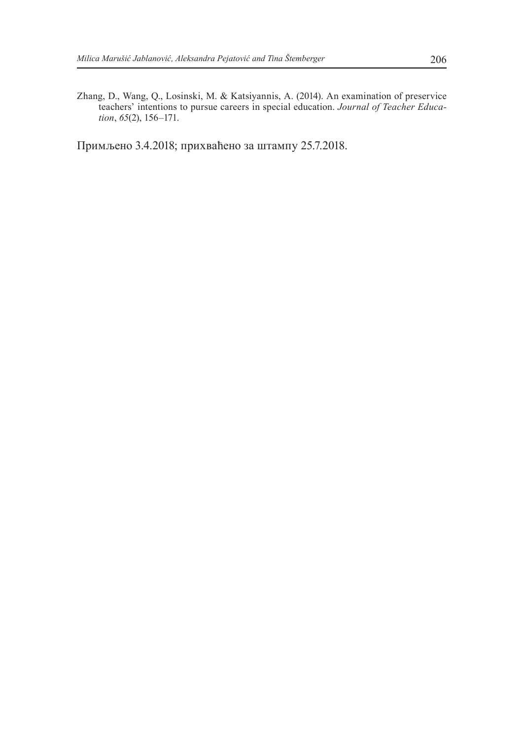Zhang, D., Wang, Q., Losinski, M. & Katsiyannis, A. (2014). An examination of preservice teachers' intentions to pursue careers in special education. *Journal of Teacher Education*, *65*(2), 156–171.

Примљено 3.4.2018; прихваћено за штампу 25.7.2018.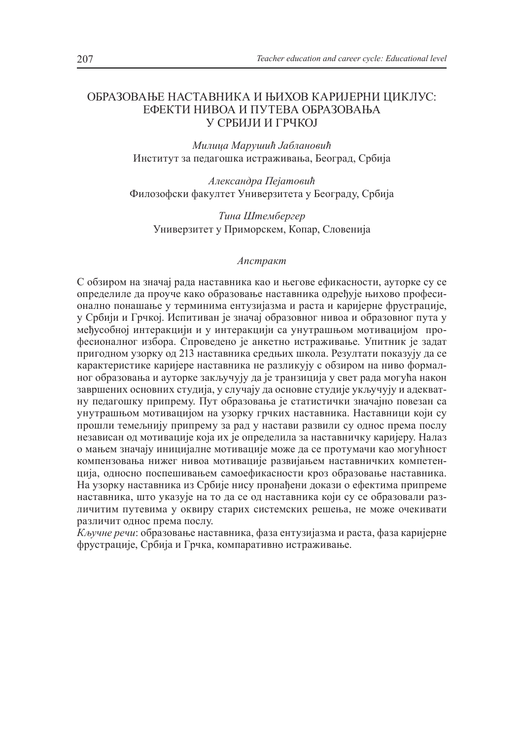### ОБРАЗОВАЊЕ НАСТАВНИКА И ЊИХОВ КАРИЈЕРНИ ЦИКЛУС: ЕФЕКТИ НИВОА И ПУТЕВА ОБРАЗОВАЊА У СРБИЈИ И ГРЧКОЈ

*Милица Марушић Јаблановић* Институт за педагошка истраживања, Београд, Србија

*Александра Пејатовић* Филозофски факултет Универзитета у Београду, Србија

*Тина Штембергер* Универзитет у Приморскем, Копар, Словенија

#### *Апстракт*

С обзиром на значај рада наставника као и његове ефикасности, ауторке су се определиле да проуче како образовање наставника одређује њихово професионално понашање у терминима ентузијазма и раста и каријерне фрустрације, у Србији и Грчкој. Испитиван је значај образовног нивоа и образовног пута у међусобној интеракцији и у интеракцији са унутрашњом мотивацијом професионалног избора. Спроведено је анкетно истраживање. Упитник је задат пригодном узорку од 213 наставника средњих школа. Резултати показују да се карактеристике каријере наставника не разликују с обзиром на ниво формалног образовања и ауторке закључују да је транзиција у свет рада могућа након завршених основних студија, у случају да основне студије укључују и адекватну педагошку припрему. Пут образовања је статистички значајно повезан са унутрашњом мотивацијом на узорку грчких наставника. Наставници који су прошли темељнију припрему за рад у настави развили су однос према послу независан од мотивације која их је определила за наставничку каријеру. Налаз о мањем значају иницијалне мотивације може да се протумачи као могућност компензовања нижег нивоа мотивације развијањем наставничких компетенција, односно поспешивањем самоефикасности кроз образовање наставника. На узорку наставника из Србије нису пронађени докази о ефектима припреме наставника, што указује на то да се од наставника који су се образовали различитим путевима у оквиру старих системских решења, не може очекивати различит однос према послу.

*Кључне речи*: образовање наставника, фаза ентузијазма и раста, фаза каријерне фрустрације, Србија и Грчка, компаративно истраживање.